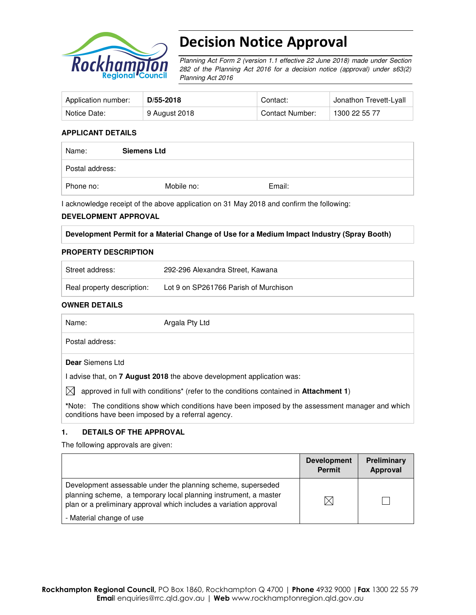

# Decision Notice Approval

Planning Act Form 2 (version 1.1 effective 22 June 2018) made under Section 282 of the Planning Act 2016 for a decision notice (approval) under s63(2) Planning Act 2016

| Application number: | D/55-2018     | Contact:        | Jonathon Trevett-Lyall |
|---------------------|---------------|-----------------|------------------------|
| Notice Date:        | 9 August 2018 | Contact Number: | 1300 22 55 77          |

#### **APPLICANT DETAILS**

| Name:           | <b>Siemens Ltd</b> |        |  |
|-----------------|--------------------|--------|--|
| Postal address: |                    |        |  |
| Phone no:       | Mobile no:         | Email: |  |

I acknowledge receipt of the above application on 31 May 2018 and confirm the following:

#### **DEVELOPMENT APPROVAL**

| Development Permit for a Material Change of Use for a Medium Impact Industry (Spray Booth) |
|--------------------------------------------------------------------------------------------|
|--------------------------------------------------------------------------------------------|

#### **PROPERTY DESCRIPTION**

| Street address:            | 292-296 Alexandra Street, Kawana      |
|----------------------------|---------------------------------------|
| Real property description: | Lot 9 on SP261766 Parish of Murchison |

#### **OWNER DETAILS**

| Name:                                              | Argala Pty Ltd                                                                                            |
|----------------------------------------------------|-----------------------------------------------------------------------------------------------------------|
| Postal address:                                    |                                                                                                           |
| <b>Dear</b> Siemens Ltd                            |                                                                                                           |
|                                                    | I advise that, on <b>7 August 2018</b> the above development application was:                             |
| IXI                                                | approved in full with conditions <sup>*</sup> (refer to the conditions contained in <b>Attachment 1</b> ) |
| conditions have been imposed by a referral agency. | *Note: The conditions show which conditions have been imposed by the assessment manager and which         |

#### **1. DETAILS OF THE APPROVAL**

The following approvals are given:

|                                                                                                                                                                                                        | <b>Development</b><br><b>Permit</b> | <b>Preliminary</b><br>Approval |
|--------------------------------------------------------------------------------------------------------------------------------------------------------------------------------------------------------|-------------------------------------|--------------------------------|
| Development assessable under the planning scheme, superseded<br>planning scheme, a temporary local planning instrument, a master<br>plan or a preliminary approval which includes a variation approval |                                     |                                |
| - Material change of use                                                                                                                                                                               |                                     |                                |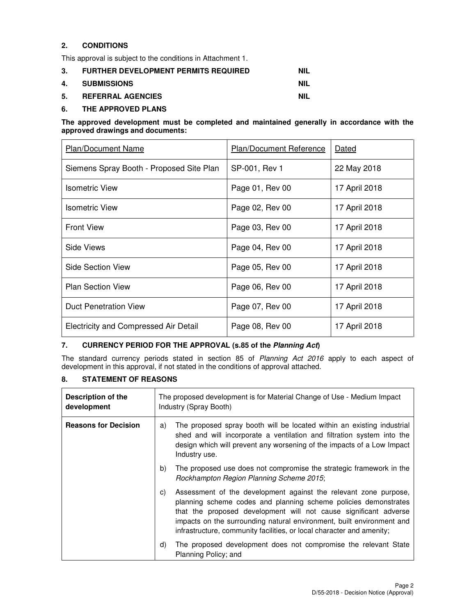## **2. CONDITIONS**

This approval is subject to the conditions in Attachment 1.

| 3. | <b>FURTHER DEVELOPMENT PERMITS REQUIRED</b> | <b>NIL</b> |
|----|---------------------------------------------|------------|
|    | 4. SUBMISSIONS                              | <b>NIL</b> |
| 5. | <b>REFERRAL AGENCIES</b>                    | NIL        |

#### **6. THE APPROVED PLANS**

#### **The approved development must be completed and maintained generally in accordance with the approved drawings and documents:**

| <b>Plan/Document Name</b>                    | Plan/Document Reference | Dated         |
|----------------------------------------------|-------------------------|---------------|
| Siemens Spray Booth - Proposed Site Plan     | SP-001, Rev 1           | 22 May 2018   |
| <b>Isometric View</b>                        | Page 01, Rev 00         | 17 April 2018 |
| <b>Isometric View</b>                        | Page 02, Rev 00         | 17 April 2018 |
| <b>Front View</b>                            | Page 03, Rev 00         | 17 April 2018 |
| Side Views                                   | Page 04, Rev 00         | 17 April 2018 |
| Side Section View                            | Page 05, Rev 00         | 17 April 2018 |
| <b>Plan Section View</b>                     | Page 06, Rev 00         | 17 April 2018 |
| <b>Duct Penetration View</b>                 | Page 07, Rev 00         | 17 April 2018 |
| <b>Electricity and Compressed Air Detail</b> | Page 08, Rev 00         | 17 April 2018 |

## **7. CURRENCY PERIOD FOR THE APPROVAL (s.85 of the Planning Act)**

The standard currency periods stated in section 85 of Planning Act 2016 apply to each aspect of development in this approval, if not stated in the conditions of approval attached.

### **8. STATEMENT OF REASONS**

| Description of the<br>development |    | The proposed development is for Material Change of Use - Medium Impact<br>Industry (Spray Booth)                                                                                                                                                                                                                                                          |  |
|-----------------------------------|----|-----------------------------------------------------------------------------------------------------------------------------------------------------------------------------------------------------------------------------------------------------------------------------------------------------------------------------------------------------------|--|
| <b>Reasons for Decision</b>       | a) | The proposed spray booth will be located within an existing industrial<br>shed and will incorporate a ventilation and filtration system into the<br>design which will prevent any worsening of the impacts of a Low Impact<br>Industry use.                                                                                                               |  |
|                                   | b) | The proposed use does not compromise the strategic framework in the<br>Rockhampton Region Planning Scheme 2015;                                                                                                                                                                                                                                           |  |
|                                   | C) | Assessment of the development against the relevant zone purpose,<br>planning scheme codes and planning scheme policies demonstrates<br>that the proposed development will not cause significant adverse<br>impacts on the surrounding natural environment, built environment and<br>infrastructure, community facilities, or local character and amenity; |  |
|                                   | d) | The proposed development does not compromise the relevant State<br>Planning Policy; and                                                                                                                                                                                                                                                                   |  |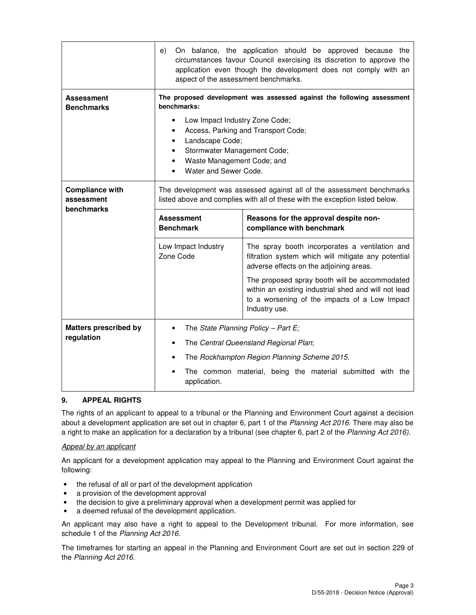|                                            | On balance, the application should be approved because the<br>e)<br>circumstances favour Council exercising its discretion to approve the<br>application even though the development does not comply with an<br>aspect of the assessment benchmarks.                                      |                                                                                                                                                                         |  |  |
|--------------------------------------------|-------------------------------------------------------------------------------------------------------------------------------------------------------------------------------------------------------------------------------------------------------------------------------------------|-------------------------------------------------------------------------------------------------------------------------------------------------------------------------|--|--|
| Assessment<br><b>Benchmarks</b>            | The proposed development was assessed against the following assessment<br>benchmarks:<br>Low Impact Industry Zone Code;<br>٠<br>Access, Parking and Transport Code;<br>Landscape Code;<br>Stormwater Management Code;<br>$\bullet$<br>Waste Management Code; and<br>Water and Sewer Code. |                                                                                                                                                                         |  |  |
| <b>Compliance with</b><br>assessment       | The development was assessed against all of the assessment benchmarks<br>listed above and complies with all of these with the exception listed below.                                                                                                                                     |                                                                                                                                                                         |  |  |
| benchmarks                                 | <b>Assessment</b><br><b>Benchmark</b>                                                                                                                                                                                                                                                     | Reasons for the approval despite non-<br>compliance with benchmark                                                                                                      |  |  |
|                                            | Low Impact Industry<br>Zone Code                                                                                                                                                                                                                                                          | The spray booth incorporates a ventilation and<br>filtration system which will mitigate any potential<br>adverse effects on the adjoining areas.                        |  |  |
|                                            |                                                                                                                                                                                                                                                                                           | The proposed spray booth will be accommodated<br>within an existing industrial shed and will not lead<br>to a worsening of the impacts of a Low Impact<br>Industry use. |  |  |
| <b>Matters prescribed by</b><br>regulation |                                                                                                                                                                                                                                                                                           | The State Planning Policy - Part E;                                                                                                                                     |  |  |
|                                            | The Central Queensland Regional Plan;<br>٠                                                                                                                                                                                                                                                |                                                                                                                                                                         |  |  |
|                                            |                                                                                                                                                                                                                                                                                           | The Rockhampton Region Planning Scheme 2015.                                                                                                                            |  |  |
|                                            | The common material, being the material submitted with the<br>application.                                                                                                                                                                                                                |                                                                                                                                                                         |  |  |

#### **9. APPEAL RIGHTS**

The rights of an applicant to appeal to a tribunal or the Planning and Environment Court against a decision about a development application are set out in chapter 6, part 1 of the Planning Act 2016. There may also be a right to make an application for a declaration by a tribunal (see chapter 6, part 2 of the Planning Act 2016).

#### Appeal by an applicant

An applicant for a development application may appeal to the Planning and Environment Court against the following:

- the refusal of all or part of the development application
- a provision of the development approval
- the decision to give a preliminary approval when a development permit was applied for
- a deemed refusal of the development application.

An applicant may also have a right to appeal to the Development tribunal. For more information, see schedule 1 of the Planning Act 2016.

The timeframes for starting an appeal in the Planning and Environment Court are set out in section 229 of the Planning Act 2016.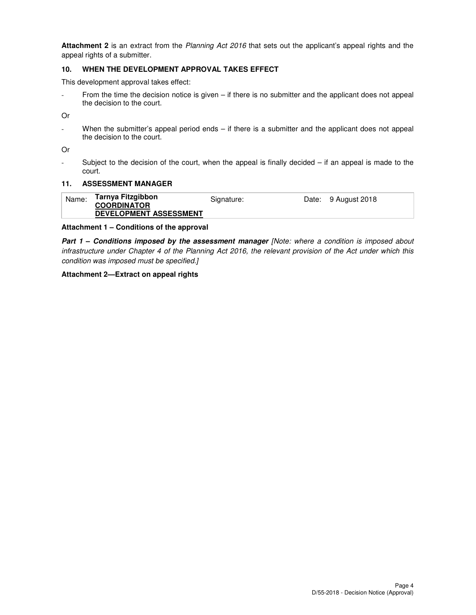**Attachment 2** is an extract from the Planning Act 2016 that sets out the applicant's appeal rights and the appeal rights of a submitter.

### **10. WHEN THE DEVELOPMENT APPROVAL TAKES EFFECT**

This development approval takes effect:

- From the time the decision notice is given – if there is no submitter and the applicant does not appeal the decision to the court.

Or

- When the submitter's appeal period ends – if there is a submitter and the applicant does not appeal the decision to the court.

Or

- Subject to the decision of the court, when the appeal is finally decided – if an appeal is made to the court.

#### **11. ASSESSMENT MANAGER**

| Name: | Tarnya Fitzgibbon             | Signature: | Date: 9 August 2018 |
|-------|-------------------------------|------------|---------------------|
|       | <b>COORDINATOR</b>            |            |                     |
|       | <b>DEVELOPMENT ASSESSMENT</b> |            |                     |

#### **Attachment 1 – Conditions of the approval**

**Part 1 – Conditions imposed by the assessment manager [Note: where a condition is imposed about** infrastructure under Chapter 4 of the Planning Act 2016, the relevant provision of the Act under which this condition was imposed must be specified.]

#### **Attachment 2—Extract on appeal rights**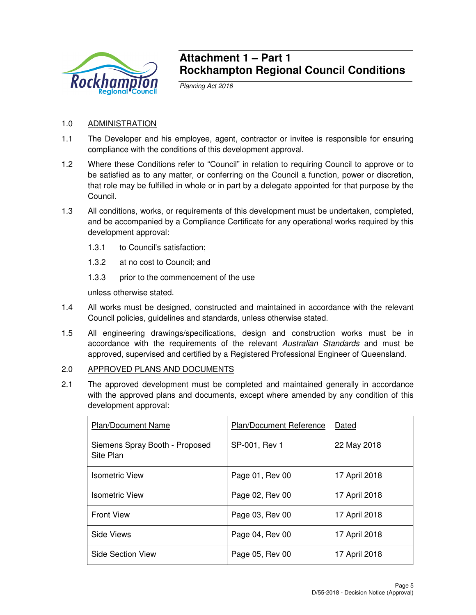

## **Attachment 1 – Part 1 Rockhampton Regional Council Conditions**

Planning Act 2016

## 1.0 ADMINISTRATION

- 1.1 The Developer and his employee, agent, contractor or invitee is responsible for ensuring compliance with the conditions of this development approval.
- 1.2 Where these Conditions refer to "Council" in relation to requiring Council to approve or to be satisfied as to any matter, or conferring on the Council a function, power or discretion, that role may be fulfilled in whole or in part by a delegate appointed for that purpose by the Council.
- 1.3 All conditions, works, or requirements of this development must be undertaken, completed, and be accompanied by a Compliance Certificate for any operational works required by this development approval:
	- 1.3.1 to Council's satisfaction;
	- 1.3.2 at no cost to Council; and
	- 1.3.3 prior to the commencement of the use

unless otherwise stated.

- 1.4 All works must be designed, constructed and maintained in accordance with the relevant Council policies, guidelines and standards, unless otherwise stated.
- 1.5 All engineering drawings/specifications, design and construction works must be in accordance with the requirements of the relevant Australian Standards and must be approved, supervised and certified by a Registered Professional Engineer of Queensland.

## 2.0 APPROVED PLANS AND DOCUMENTS

2.1 The approved development must be completed and maintained generally in accordance with the approved plans and documents, except where amended by any condition of this development approval:

| <b>Plan/Document Name</b>                   | Plan/Document Reference | Dated         |
|---------------------------------------------|-------------------------|---------------|
| Siemens Spray Booth - Proposed<br>Site Plan | SP-001, Rev 1           | 22 May 2018   |
| <b>Isometric View</b>                       | Page 01, Rev 00         | 17 April 2018 |
| Isometric View                              | Page 02, Rev 00         | 17 April 2018 |
| <b>Front View</b>                           | Page 03, Rev 00         | 17 April 2018 |
| Side Views                                  | Page 04, Rev 00         | 17 April 2018 |
| Side Section View                           | Page 05, Rev 00         | 17 April 2018 |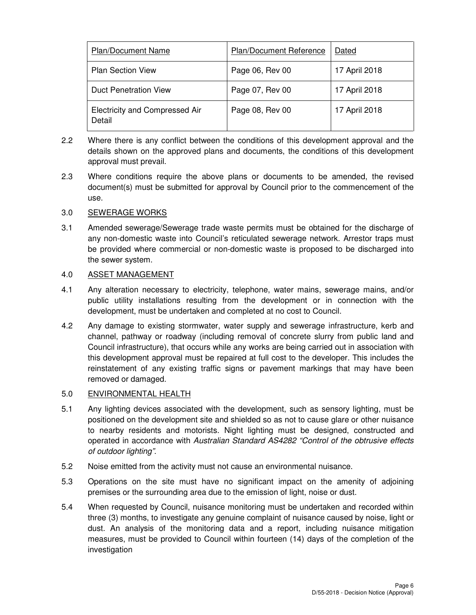| <b>Plan/Document Name</b>                       | <b>Plan/Document Reference</b> | Dated         |
|-------------------------------------------------|--------------------------------|---------------|
| <b>Plan Section View</b>                        | Page 06, Rev 00                | 17 April 2018 |
| <b>Duct Penetration View</b>                    | Page 07, Rev 00                | 17 April 2018 |
| <b>Electricity and Compressed Air</b><br>Detail | Page 08, Rev 00                | 17 April 2018 |

- 2.2 Where there is any conflict between the conditions of this development approval and the details shown on the approved plans and documents, the conditions of this development approval must prevail.
- 2.3 Where conditions require the above plans or documents to be amended, the revised document(s) must be submitted for approval by Council prior to the commencement of the use.

## 3.0 SEWERAGE WORKS

3.1 Amended sewerage/Sewerage trade waste permits must be obtained for the discharge of any non-domestic waste into Council's reticulated sewerage network. Arrestor traps must be provided where commercial or non-domestic waste is proposed to be discharged into the sewer system.

## 4.0 ASSET MANAGEMENT

- 4.1 Any alteration necessary to electricity, telephone, water mains, sewerage mains, and/or public utility installations resulting from the development or in connection with the development, must be undertaken and completed at no cost to Council.
- 4.2 Any damage to existing stormwater, water supply and sewerage infrastructure, kerb and channel, pathway or roadway (including removal of concrete slurry from public land and Council infrastructure), that occurs while any works are being carried out in association with this development approval must be repaired at full cost to the developer. This includes the reinstatement of any existing traffic signs or pavement markings that may have been removed or damaged.

### 5.0 ENVIRONMENTAL HEALTH

- 5.1 Any lighting devices associated with the development, such as sensory lighting, must be positioned on the development site and shielded so as not to cause glare or other nuisance to nearby residents and motorists. Night lighting must be designed, constructed and operated in accordance with Australian Standard AS4282 "Control of the obtrusive effects of outdoor lighting".
- 5.2 Noise emitted from the activity must not cause an environmental nuisance.
- 5.3 Operations on the site must have no significant impact on the amenity of adjoining premises or the surrounding area due to the emission of light, noise or dust.
- 5.4 When requested by Council, nuisance monitoring must be undertaken and recorded within three (3) months, to investigate any genuine complaint of nuisance caused by noise, light or dust. An analysis of the monitoring data and a report, including nuisance mitigation measures, must be provided to Council within fourteen (14) days of the completion of the investigation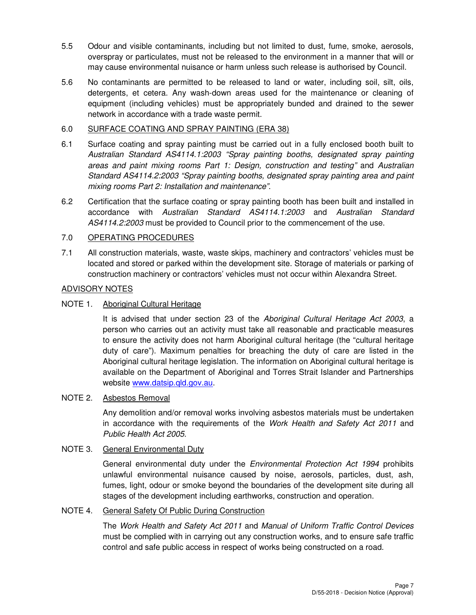- 5.5 Odour and visible contaminants, including but not limited to dust, fume, smoke, aerosols, overspray or particulates, must not be released to the environment in a manner that will or may cause environmental nuisance or harm unless such release is authorised by Council.
- 5.6 No contaminants are permitted to be released to land or water, including soil, silt, oils, detergents, et cetera. Any wash-down areas used for the maintenance or cleaning of equipment (including vehicles) must be appropriately bunded and drained to the sewer network in accordance with a trade waste permit.

## 6.0 SURFACE COATING AND SPRAY PAINTING (ERA 38)

- 6.1 Surface coating and spray painting must be carried out in a fully enclosed booth built to Australian Standard AS4114.1:2003 "Spray painting booths, designated spray painting areas and paint mixing rooms Part 1: Design, construction and testing" and Australian Standard AS4114.2:2003 "Spray painting booths, designated spray painting area and paint mixing rooms Part 2: Installation and maintenance".
- 6.2 Certification that the surface coating or spray painting booth has been built and installed in accordance with Australian Standard AS4114.1:2003 and Australian Standard AS4114.2:2003 must be provided to Council prior to the commencement of the use.

## 7.0 OPERATING PROCEDURES

7.1 All construction materials, waste, waste skips, machinery and contractors' vehicles must be located and stored or parked within the development site. Storage of materials or parking of construction machinery or contractors' vehicles must not occur within Alexandra Street.

#### ADVISORY NOTES

### NOTE 1. Aboriginal Cultural Heritage

It is advised that under section 23 of the Aboriginal Cultural Heritage Act 2003, a person who carries out an activity must take all reasonable and practicable measures to ensure the activity does not harm Aboriginal cultural heritage (the "cultural heritage duty of care"). Maximum penalties for breaching the duty of care are listed in the Aboriginal cultural heritage legislation. The information on Aboriginal cultural heritage is available on the Department of Aboriginal and Torres Strait Islander and Partnerships website www.datsip.qld.gov.au.

## NOTE 2. Asbestos Removal

Any demolition and/or removal works involving asbestos materials must be undertaken in accordance with the requirements of the Work Health and Safety Act 2011 and Public Health Act 2005.

#### NOTE 3. General Environmental Duty

General environmental duty under the Environmental Protection Act 1994 prohibits unlawful environmental nuisance caused by noise, aerosols, particles, dust, ash, fumes, light, odour or smoke beyond the boundaries of the development site during all stages of the development including earthworks, construction and operation.

## NOTE 4. General Safety Of Public During Construction

The Work Health and Safety Act 2011 and Manual of Uniform Traffic Control Devices must be complied with in carrying out any construction works, and to ensure safe traffic control and safe public access in respect of works being constructed on a road.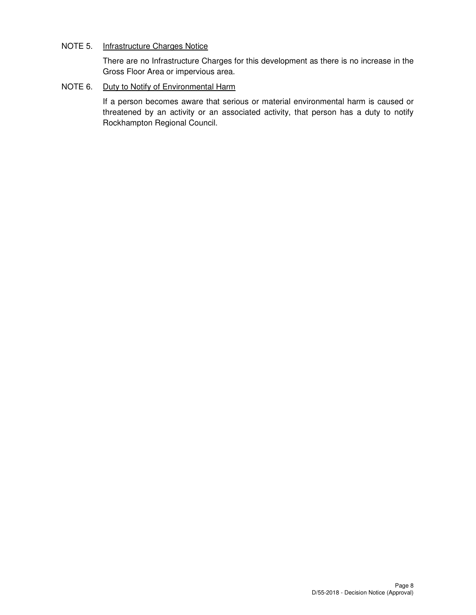## NOTE 5. Infrastructure Charges Notice

There are no Infrastructure Charges for this development as there is no increase in the Gross Floor Area or impervious area.

## NOTE 6. Duty to Notify of Environmental Harm

If a person becomes aware that serious or material environmental harm is caused or threatened by an activity or an associated activity, that person has a duty to notify Rockhampton Regional Council.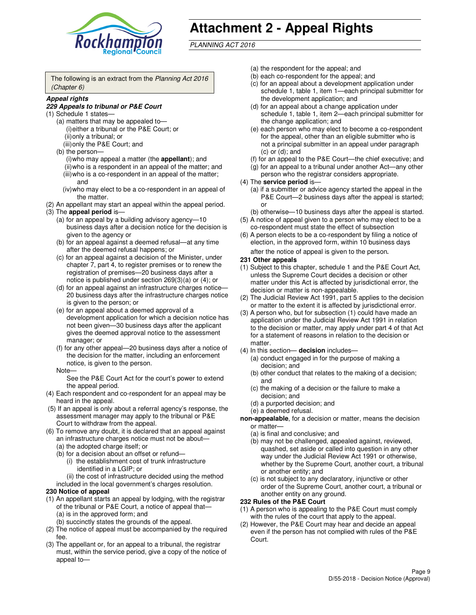

# **Attachment 2 - Appeal Rights**

PLANNING ACT 2016

The following is an extract from the Planning Act 2016 (Chapter 6)

#### **Appeal rights**

#### **229 Appeals to tribunal or P&E Court**

- (1) Schedule 1 states—
	- (a) matters that may be appealed to— (i) either a tribunal or the P&E Court; or (ii) only a tribunal; or (iii) only the P&E Court; and
	- (b) the person—
		- (i) who may appeal a matter (the **appellant**); and
		- (ii) who is a respondent in an appeal of the matter; and (iii) who is a co-respondent in an appeal of the matter; and
		- (iv) who may elect to be a co-respondent in an appeal of the matter.
- (2) An appellant may start an appeal within the appeal period.
- (3) The **appeal period** is—
	- (a) for an appeal by a building advisory agency—10 business days after a decision notice for the decision is given to the agency or
	- (b) for an appeal against a deemed refusal—at any time after the deemed refusal happens; or
	- (c) for an appeal against a decision of the Minister, under chapter 7, part 4, to register premises or to renew the registration of premises—20 business days after a notice is published under section 269(3)(a) or (4); or
	- (d) for an appeal against an infrastructure charges notice— 20 business days after the infrastructure charges notice is given to the person; or
	- (e) for an appeal about a deemed approval of a development application for which a decision notice has not been given—30 business days after the applicant gives the deemed approval notice to the assessment manager; or
	- (f) for any other appeal—20 business days after a notice of the decision for the matter, including an enforcement notice, is given to the person.
	- Note—

See the P&E Court Act for the court's power to extend the appeal period.

- (4) Each respondent and co-respondent for an appeal may be heard in the appeal.
- (5) If an appeal is only about a referral agency's response, the assessment manager may apply to the tribunal or P&E Court to withdraw from the appeal.
- (6) To remove any doubt, it is declared that an appeal against an infrastructure charges notice must not be about—
	- (a) the adopted charge itself; or
	- (b) for a decision about an offset or refund—
		- (i) the establishment cost of trunk infrastructure identified in a LGIP; or
		- (ii) the cost of infrastructure decided using the method
- included in the local government's charges resolution. **230 Notice of appeal**
- (1) An appellant starts an appeal by lodging, with the registrar of the tribunal or P&E Court, a notice of appeal that—
	- (a) is in the approved form; and
	- (b) succinctly states the grounds of the appeal.
- (2) The notice of appeal must be accompanied by the required fee.
- (3) The appellant or, for an appeal to a tribunal, the registrar must, within the service period, give a copy of the notice of appeal to—
- (a) the respondent for the appeal; and
- (b) each co-respondent for the appeal; and
- (c) for an appeal about a development application under schedule 1, table 1, item 1—each principal submitter for the development application; and
- (d) for an appeal about a change application under schedule 1, table 1, item 2—each principal submitter for the change application; and
- (e) each person who may elect to become a co-respondent for the appeal, other than an eligible submitter who is not a principal submitter in an appeal under paragraph  $(c)$  or  $(d)$ ; and
- (f) for an appeal to the P&E Court—the chief executive; and
- (g) for an appeal to a tribunal under another Act—any other person who the registrar considers appropriate.
- (4) The **service period** is—
	- (a) if a submitter or advice agency started the appeal in the P&E Court—2 business days after the appeal is started; or
	- (b) otherwise—10 business days after the appeal is started.
- (5) A notice of appeal given to a person who may elect to be a co-respondent must state the effect of subsection
- (6) A person elects to be a co-respondent by filing a notice of election, in the approved form, within 10 business days after the notice of appeal is given to the person*.*
- **231 Other appeals**
- (1) Subject to this chapter, schedule 1 and the P&E Court Act, unless the Supreme Court decides a decision or other matter under this Act is affected by jurisdictional error, the decision or matter is non-appealable.
- (2) The Judicial Review Act 1991, part 5 applies to the decision or matter to the extent it is affected by jurisdictional error.
- (3) A person who, but for subsection (1) could have made an application under the Judicial Review Act 1991 in relation to the decision or matter, may apply under part 4 of that Act for a statement of reasons in relation to the decision or matter.
- (4) In this section— **decision** includes—
	- (a) conduct engaged in for the purpose of making a decision; and
	- (b) other conduct that relates to the making of a decision; and
	- (c) the making of a decision or the failure to make a decision; and
	- (d) a purported decision; and
	- (e) a deemed refusal.

**non-appealable**, for a decision or matter, means the decision or matter—

- (a) is final and conclusive; and
- (b) may not be challenged, appealed against, reviewed, quashed, set aside or called into question in any other way under the Judicial Review Act 1991 or otherwise, whether by the Supreme Court, another court, a tribunal or another entity; and
- (c) is not subject to any declaratory, injunctive or other order of the Supreme Court, another court, a tribunal or another entity on any ground.

#### **232 Rules of the P&E Court**

- (1) A person who is appealing to the P&E Court must comply with the rules of the court that apply to the appeal.
- (2) However, the P&E Court may hear and decide an appeal even if the person has not complied with rules of the P&E Court.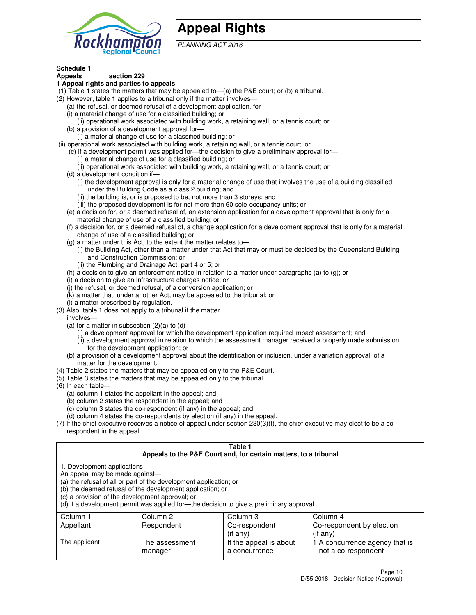

## **Appeal Rights**

PLANNING ACT 2016

## **Schedule 1**

## **Appeals section 229**

#### **1 Appeal rights and parties to appeals**

- (1) Table 1 states the matters that may be appealed to—(a) the P&E court; or (b) a tribunal.
- (2) However, table 1 applies to a tribunal only if the matter involves—
	- (a) the refusal, or deemed refusal of a development application, for—
	- (i) a material change of use for a classified building; or
	- (ii) operational work associated with building work, a retaining wall, or a tennis court; or
	- (b) a provision of a development approval for—
	- (i) a material change of use for a classified building; or
- (ii) operational work associated with building work, a retaining wall, or a tennis court; or
	- (c) if a development permit was applied for—the decision to give a preliminary approval for—
		- (i) a material change of use for a classified building; or
		- (ii) operational work associated with building work, a retaining wall, or a tennis court; or
	- (d) a development condition if—
		- (i) the development approval is only for a material change of use that involves the use of a building classified under the Building Code as a class 2 building; and
		- (ii) the building is, or is proposed to be, not more than 3 storeys; and
		- (iii) the proposed development is for not more than 60 sole-occupancy units; or
	- (e) a decision for, or a deemed refusal of, an extension application for a development approval that is only for a material change of use of a classified building; or
	- (f) a decision for, or a deemed refusal of, a change application for a development approval that is only for a material change of use of a classified building; or
	- (g) a matter under this Act, to the extent the matter relates to—
		- (i) the Building Act, other than a matter under that Act that may or must be decided by the Queensland Building and Construction Commission; or
		- (ii) the Plumbing and Drainage Act, part 4 or 5; or
	- (h) a decision to give an enforcement notice in relation to a matter under paragraphs (a) to (g); or
	- (i) a decision to give an infrastructure charges notice; or
	- (j) the refusal, or deemed refusal, of a conversion application; or
	- (k) a matter that, under another Act, may be appealed to the tribunal; or
	- (l) a matter prescribed by regulation.
- (3) Also, table 1 does not apply to a tribunal if the matter
	- involves—
	- (a) for a matter in subsection  $(2)(a)$  to  $(d)$ 
		- (i) a development approval for which the development application required impact assessment; and
		- (ii) a development approval in relation to which the assessment manager received a properly made submission for the development application; or
	- (b) a provision of a development approval about the identification or inclusion, under a variation approval, of a matter for the development.
- (4) Table 2 states the matters that may be appealed only to the P&E Court.
- (5) Table 3 states the matters that may be appealed only to the tribunal.
- (6) In each table—
	- (a) column 1 states the appellant in the appeal; and
	- (b) column 2 states the respondent in the appeal; and
	- (c) column 3 states the co-respondent (if any) in the appeal; and
	- (d) column 4 states the co-respondents by election (if any) in the appeal.
- $(7)$  If the chief executive receives a notice of appeal under section  $230(3)(f)$ , the chief executive may elect to be a corespondent in the appeal.

| Table 1<br>Appeals to the P&E Court and, for certain matters, to a tribunal                                      |                                                                                                                                                                                                                            |                        |                                |
|------------------------------------------------------------------------------------------------------------------|----------------------------------------------------------------------------------------------------------------------------------------------------------------------------------------------------------------------------|------------------------|--------------------------------|
| 1. Development applications<br>An appeal may be made against-<br>(c) a provision of the development approval; or | (a) the refusal of all or part of the development application; or<br>(b) the deemed refusal of the development application; or<br>(d) if a development permit was applied for—the decision to give a preliminary approval. |                        |                                |
| Column 1                                                                                                         | Column 2                                                                                                                                                                                                                   | Column 3               | Column 4                       |
| Appellant                                                                                                        | Respondent                                                                                                                                                                                                                 | Co-respondent          | Co-respondent by election      |
|                                                                                                                  |                                                                                                                                                                                                                            | $(if$ any)             | $($ if any $)$                 |
| The applicant                                                                                                    | The assessment                                                                                                                                                                                                             | If the appeal is about | 1 A concurrence agency that is |
|                                                                                                                  | manager                                                                                                                                                                                                                    | a concurrence          | not a co-respondent            |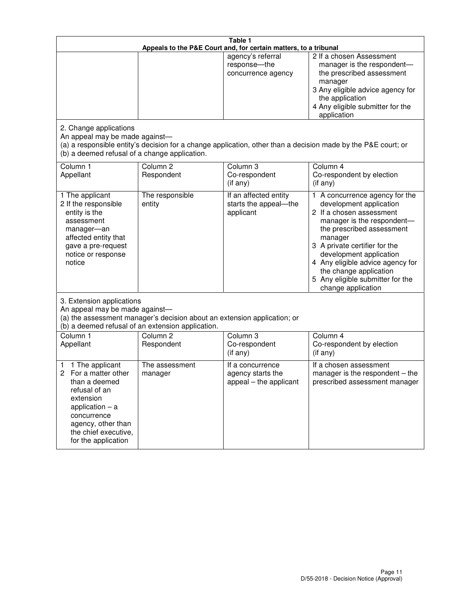|                                                                                                                                                                                                         | Table 1<br>Appeals to the P&E Court and, for certain matters, to a tribunal                                                   |                                                                 |                                                                                                                                                                                                                                                                                                                                                 |  |
|---------------------------------------------------------------------------------------------------------------------------------------------------------------------------------------------------------|-------------------------------------------------------------------------------------------------------------------------------|-----------------------------------------------------------------|-------------------------------------------------------------------------------------------------------------------------------------------------------------------------------------------------------------------------------------------------------------------------------------------------------------------------------------------------|--|
|                                                                                                                                                                                                         |                                                                                                                               | agency's referral<br>response-the<br>concurrence agency         | 2 If a chosen Assessment<br>manager is the respondent-<br>the prescribed assessment<br>manager<br>3 Any eligible advice agency for<br>the application<br>4 Any eligible submitter for the<br>application                                                                                                                                        |  |
| 2. Change applications<br>An appeal may be made against-<br>(b) a deemed refusal of a change application.                                                                                               |                                                                                                                               |                                                                 | (a) a responsible entity's decision for a change application, other than a decision made by the P&E court; or                                                                                                                                                                                                                                   |  |
| Column 1<br>Appellant                                                                                                                                                                                   | Column <sub>2</sub><br>Respondent                                                                                             | Column <sub>3</sub><br>Co-respondent<br>(if any)                | Column 4<br>Co-respondent by election<br>(if any)                                                                                                                                                                                                                                                                                               |  |
| 1 The applicant<br>2 If the responsible<br>entity is the<br>assessment<br>manager-an<br>affected entity that<br>gave a pre-request<br>notice or response<br>notice                                      | The responsible<br>entity                                                                                                     | If an affected entity<br>starts the appeal-the<br>applicant     | 1 A concurrence agency for the<br>development application<br>2 If a chosen assessment<br>manager is the respondent-<br>the prescribed assessment<br>manager<br>3 A private certifier for the<br>development application<br>4 Any eligible advice agency for<br>the change application<br>5 Any eligible submitter for the<br>change application |  |
| 3. Extension applications<br>An appeal may be made against-                                                                                                                                             | (a) the assessment manager's decision about an extension application; or<br>(b) a deemed refusal of an extension application. |                                                                 |                                                                                                                                                                                                                                                                                                                                                 |  |
| Column 1<br>Appellant                                                                                                                                                                                   | Column <sub>2</sub><br>Respondent                                                                                             | Column 3<br>Co-respondent<br>(if any)                           | Column 4<br>Co-respondent by election<br>(if any)                                                                                                                                                                                                                                                                                               |  |
| 1 The applicant<br>1<br>For a matter other<br>2<br>than a deemed<br>refusal of an<br>extension<br>application $-$ a<br>concurrence<br>agency, other than<br>the chief executive,<br>for the application | The assessment<br>manager                                                                                                     | If a concurrence<br>agency starts the<br>appeal - the applicant | If a chosen assessment<br>manager is the respondent - the<br>prescribed assessment manager                                                                                                                                                                                                                                                      |  |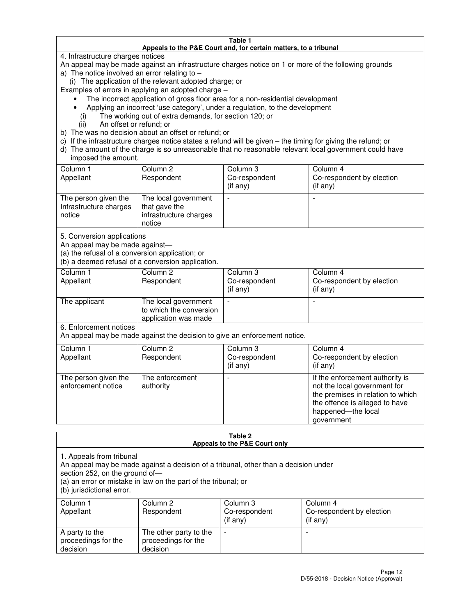#### **Table 1 Appeals to the P&E Court and, for certain matters, to a tribunal**

4. Infrastructure charges notices

An appeal may be made against an infrastructure charges notice on 1 or more of the following grounds

- a) The notice involved an error relating to
	- (i) The application of the relevant adopted charge; or
- Examples of errors in applying an adopted charge
	- The incorrect application of gross floor area for a non-residential development
	- Applying an incorrect 'use category', under a regulation, to the development
		- (i) The working out of extra demands, for section 120; or
		- (ii) An offset or refund; or
- b) The was no decision about an offset or refund; or
- c) If the infrastructure charges notice states a refund will be given the timing for giving the refund; or
- d) The amount of the charge is so unreasonable that no reasonable relevant local government could have imposed the amount.

| Column 1<br>Appellant                                    | Column 2<br>Respondent                                                    | Column 3<br>Co-respondent<br>$($ if any $)$ | Column 4<br>Co-respondent by election<br>$($ if any $)$ |
|----------------------------------------------------------|---------------------------------------------------------------------------|---------------------------------------------|---------------------------------------------------------|
| The person given the<br>Infrastructure charges<br>notice | The local government<br>that gave the<br>infrastructure charges<br>notice |                                             |                                                         |

5. Conversion applications

An appeal may be made against—

(a) the refusal of a conversion application; or

(b) a deemed refusal of a conversion application.

| Column 1<br>Appellant | Column 2<br>Respondent                                                  | Column 3<br>Co-respondent<br>$($ if any $)$ | Column 4<br>Co-respondent by election<br>$($ if any $)$ |
|-----------------------|-------------------------------------------------------------------------|---------------------------------------------|---------------------------------------------------------|
| The applicant         | The local government<br>to which the conversion<br>application was made |                                             |                                                         |

6. Enforcement notices

An appeal may be made against the decision to give an enforcement notice.

| Column 1<br>Appellant                      | Column 2<br>Respondent       | Column 3<br>Co-respondent<br>$($ if any $)$ | Column 4<br>Co-respondent by election<br>(if any)                                                                                                                          |
|--------------------------------------------|------------------------------|---------------------------------------------|----------------------------------------------------------------------------------------------------------------------------------------------------------------------------|
| The person given the<br>enforcement notice | The enforcement<br>authority |                                             | If the enforcement authority is<br>not the local government for<br>the premises in relation to which<br>the offence is alleged to have<br>happened-the local<br>government |

#### **Table 2 Appeals to the P&E Court only**

1. Appeals from tribunal

An appeal may be made against a decision of a tribunal, other than a decision under

section 252, on the ground of—

(a) an error or mistake in law on the part of the tribunal; or

(b) jurisdictional error.

| Column 1<br>Appellant                             | Column 2<br>Respondent                                    | Column 3<br>Co-respondent<br>(if any) | Column 4<br>Co-respondent by election<br>(if any) |
|---------------------------------------------------|-----------------------------------------------------------|---------------------------------------|---------------------------------------------------|
| A party to the<br>proceedings for the<br>decision | The other party to the<br>proceedings for the<br>decision | -                                     |                                                   |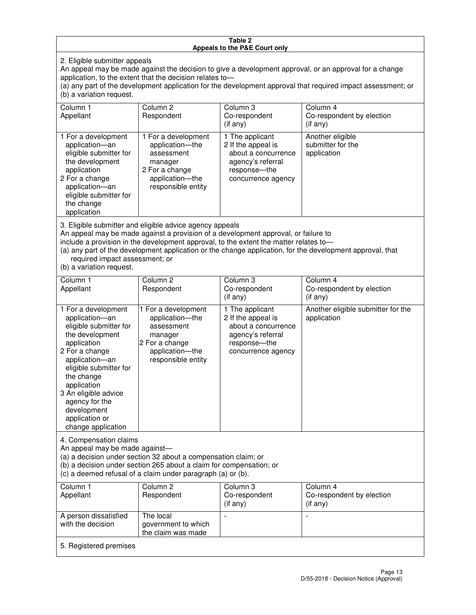#### **Table 2 Appeals to the P&E Court only**

2. Eligible submitter appeals

An appeal may be made against the decision to give a development approval, or an approval for a change application, to the extent that the decision relates to—

(a) any part of the development application for the development approval that required impact assessment; or (b) a variation request.

| Column 1<br>Appellant                                                                                                                                                                        | Column 2<br>Respondent                                                                                                                                                                                                                  | Column 3<br>Co-respondent<br>$($ if any $)$                                                                             | Column 4<br>Co-respondent by election<br>(if any)                                                         |
|----------------------------------------------------------------------------------------------------------------------------------------------------------------------------------------------|-----------------------------------------------------------------------------------------------------------------------------------------------------------------------------------------------------------------------------------------|-------------------------------------------------------------------------------------------------------------------------|-----------------------------------------------------------------------------------------------------------|
| 1 For a development<br>application-an<br>eligible submitter for<br>the development<br>application<br>2 For a change<br>application-an<br>eligible submitter for<br>the change<br>application | 1 For a development<br>application-the<br>assessment<br>manager<br>2 For a change<br>application-the<br>responsible entity                                                                                                              | 1 The applicant<br>2 If the appeal is<br>about a concurrence<br>agency's referral<br>response-the<br>concurrence agency | Another eligible<br>submitter for the<br>application                                                      |
| required impact assessment; or<br>(b) a variation request.                                                                                                                                   | 3. Eligible submitter and eligible advice agency appeals<br>An appeal may be made against a provision of a development approval, or failure to<br>include a provision in the development approval, to the extent the matter relates to- |                                                                                                                         | (a) any part of the development application or the change application, for the development approval, that |
| Column <sub>1</sub><br>Appellant                                                                                                                                                             | Column <sub>2</sub><br>Respondent                                                                                                                                                                                                       | Column 3<br>Co-respondent<br>$(if$ any)                                                                                 | Column <sub>4</sub><br>Co-respondent by election<br>(i f any)                                             |
| 1 For a development<br>application-an<br>eligible submitter for<br>the development<br>application                                                                                            | 1 For a development<br>application-the<br>assessment<br>manager<br>2 For a change                                                                                                                                                       | 1 The applicant<br>2 If the appeal is<br>about a concurrence<br>agency's referral<br>response---the                     | Another eligible submitter for the<br>application                                                         |

concurrence agency

change application 4. Compensation claims

2 For a change application—an eligible submitter for

the change application 3 An eligible advice agency for the development application or

An appeal may be made against—

(a) a decision under section 32 about a compensation claim; or

(b) a decision under section 265 about a claim for compensation; or

application—the responsible entity

(c) a deemed refusal of a claim under paragraph (a) or (b).

| Column 1<br>Appellant                      | Column 2<br>Respondent                                 | Column 3<br>Co-respondent<br>(if any) | Column 4<br>Co-respondent by election<br>(if any) |
|--------------------------------------------|--------------------------------------------------------|---------------------------------------|---------------------------------------------------|
| A person dissatisfied<br>with the decision | The local<br>government to which<br>the claim was made |                                       |                                                   |
| 5. Registered premises                     |                                                        |                                       |                                                   |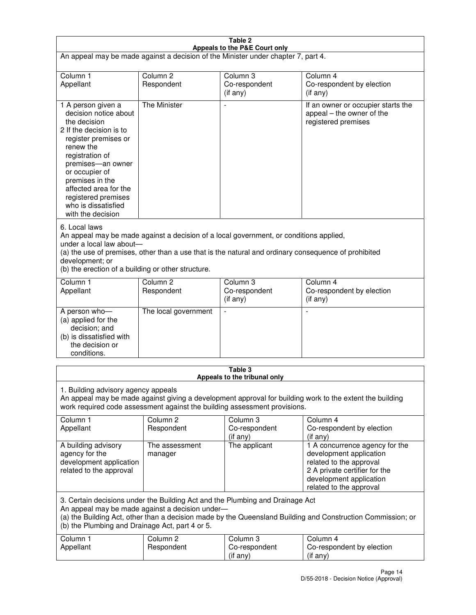| Table 2                                                                                                                                                                                                                                                                                                              |                                   |                                                                           |                                                                                                                                                                             |
|----------------------------------------------------------------------------------------------------------------------------------------------------------------------------------------------------------------------------------------------------------------------------------------------------------------------|-----------------------------------|---------------------------------------------------------------------------|-----------------------------------------------------------------------------------------------------------------------------------------------------------------------------|
| Appeals to the P&E Court only<br>An appeal may be made against a decision of the Minister under chapter 7, part 4.                                                                                                                                                                                                   |                                   |                                                                           |                                                                                                                                                                             |
| Column 1                                                                                                                                                                                                                                                                                                             | Column <sub>2</sub>               | Column <sub>3</sub>                                                       | Column 4                                                                                                                                                                    |
| Appellant                                                                                                                                                                                                                                                                                                            | Respondent                        | Co-respondent<br>(if any)                                                 | Co-respondent by election<br>(if any)                                                                                                                                       |
| 1 A person given a<br>decision notice about<br>the decision<br>2 If the decision is to<br>register premises or<br>renew the<br>registration of<br>premises-an owner<br>or occupier of<br>premises in the<br>affected area for the<br>registered premises<br>who is dissatisfied<br>with the decision                 | <b>The Minister</b>               | ÷,                                                                        | If an owner or occupier starts the<br>appeal – the owner of the<br>registered premises                                                                                      |
| 6. Local laws<br>An appeal may be made against a decision of a local government, or conditions applied,<br>under a local law about-<br>(a) the use of premises, other than a use that is the natural and ordinary consequence of prohibited<br>development; or<br>(b) the erection of a building or other structure. |                                   |                                                                           |                                                                                                                                                                             |
| Column 1<br>Appellant                                                                                                                                                                                                                                                                                                | Column 2<br>Respondent            | Column 3<br>Co-respondent<br>(if any)                                     | Column 4<br>Co-respondent by election<br>(if any)                                                                                                                           |
| A person who-<br>(a) applied for the<br>decision; and<br>(b) is dissatisfied with<br>the decision or<br>conditions.                                                                                                                                                                                                  | The local government              |                                                                           |                                                                                                                                                                             |
|                                                                                                                                                                                                                                                                                                                      |                                   | Table 3<br>Appeals to the tribunal only                                   |                                                                                                                                                                             |
| 1. Building advisory agency appeals                                                                                                                                                                                                                                                                                  |                                   | work required code assessment against the building assessment provisions. | An appeal may be made against giving a development approval for building work to the extent the building                                                                    |
| Column 1<br>Appellant                                                                                                                                                                                                                                                                                                | Column <sub>2</sub><br>Respondent | Column 3<br>Co-respondent<br>(if any)                                     | Column 4<br>Co-respondent by election<br>(if any)                                                                                                                           |
| A building advisory<br>agency for the<br>development application<br>related to the approval                                                                                                                                                                                                                          | The assessment<br>manager         | The applicant                                                             | 1 A concurrence agency for the<br>development application<br>related to the approval<br>2 A private certifier for the<br>development application<br>related to the approval |
| 3. Certain decisions under the Building Act and the Plumbing and Drainage Act<br>An appeal may be made against a decision under-<br>(a) the Building Act, other than a decision made by the Queensland Building and Construction Commission; or<br>(b) the Plumbing and Drainage Act, part 4 or 5.                   |                                   |                                                                           |                                                                                                                                                                             |
| Column 1<br>Appellant                                                                                                                                                                                                                                                                                                | Column <sub>2</sub><br>Respondent | Column 3<br>Co-respondent<br>(if any)                                     | Column 4<br>Co-respondent by election<br>(if any)                                                                                                                           |